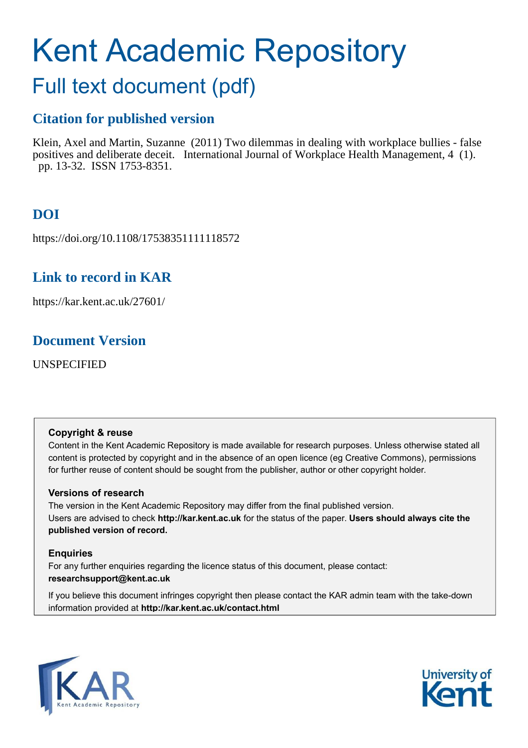# Kent Academic Repository

## Full text document (pdf)

## **Citation for published version**

Klein, Axel and Martin, Suzanne (2011) Two dilemmas in dealing with workplace bullies - false positives and deliberate deceit. International Journal of Workplace Health Management, 4 (1). pp. 13-32. ISSN 1753-8351.

## **DOI**

https://doi.org/10.1108/17538351111118572

## **Link to record in KAR**

https://kar.kent.ac.uk/27601/

## **Document Version**

UNSPECIFIED

#### **Copyright & reuse**

Content in the Kent Academic Repository is made available for research purposes. Unless otherwise stated all content is protected by copyright and in the absence of an open licence (eg Creative Commons), permissions for further reuse of content should be sought from the publisher, author or other copyright holder.

#### **Versions of research**

The version in the Kent Academic Repository may differ from the final published version. Users are advised to check **http://kar.kent.ac.uk** for the status of the paper. **Users should always cite the published version of record.**

#### **Enquiries**

For any further enquiries regarding the licence status of this document, please contact: **researchsupport@kent.ac.uk**

If you believe this document infringes copyright then please contact the KAR admin team with the take-down information provided at **http://kar.kent.ac.uk/contact.html**



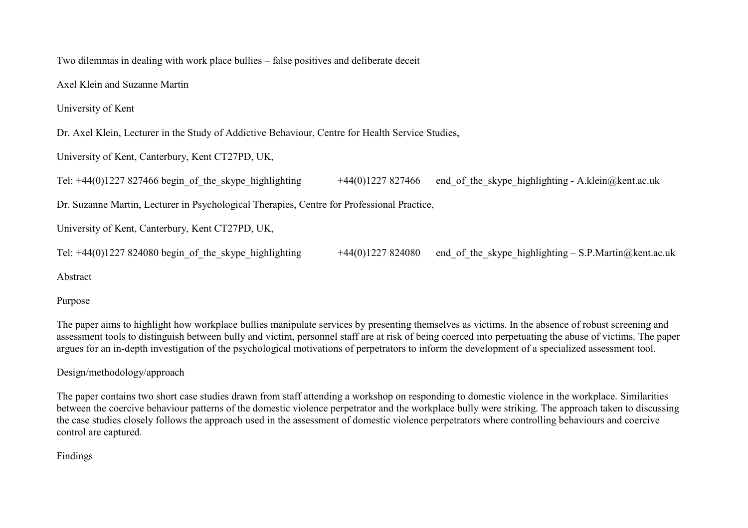Two dilemmas in dealing with work place bullies – false positives and deliberate deceit

Axel Klein and Suzanne Martin

University of Kent

Dr. Axel Klein, Lecturer in the Study of Addictive Behaviour, Centre for Health Service Studies,

University of Kent, Canterbury, Kent CT27PD, UK,

Tel:  $+44(0)1227827466$  begin of the skype highlighting  $+44(0)1227827466$ end of the skype highlighting - A.klein@kent.ac.uk

Dr. Suzanne Martin, Lecturer in Psychological Therapies, Centre for Professional Practice,

University of Kent, Canterbury, Kent CT27PD, UK,

```
Tel: +44(0)1227824080 begin of the skype highlighting
                                                +44(0)1227824080end of the skype highlighting - S.P. Martin@kent.ac.uk
```
Abstract

Purpose

The paper aims to highlight how workplace bullies manipulate services by presenting themselves as victims. In the absence of robust screening and assessment tools to distinguish between bully and victim, personnel staff are at risk of being coerced into perpetuating the abuse of victims. The paper argues for an in-depth investigation of the psychological motivations of perpetrators to inform the development of a specialized assessment tool.

Design/methodology/approach

The paper contains two short case studies drawn from staff attending a workshop on responding to domestic violence in the workplace. Similarities between the coercive behaviour patterns of the domestic violence perpetrator and the workplace bully were striking. The approach taken to discussing the case studies closely follows the approach used in the assessment of domestic violence perpetrators where controlling behaviours and coercive control are captured.

Findings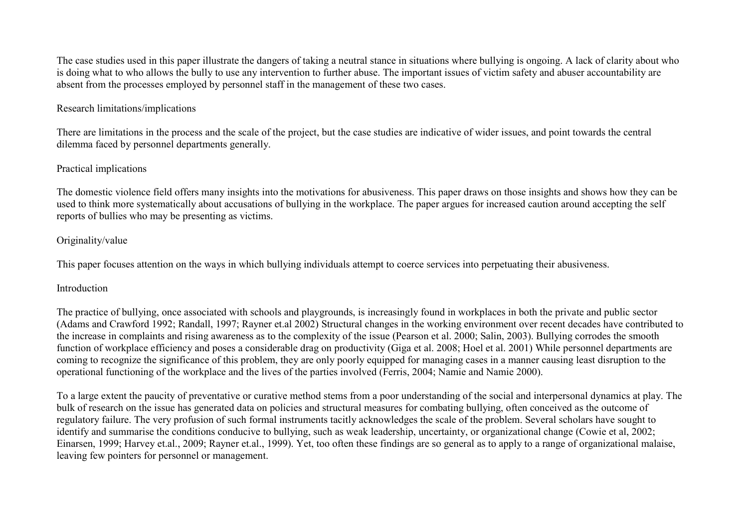The case studies used in this paper illustrate the dangers of taking a neutral stance in situations where bullying is ongoing. A lack of clarity about who is doing what to who allows the bully to use any intervention to further abuse. The important issues of victim safety and abuser accountability are absent from the processes employed by personnel staff in the management of these two cases.

#### Research limitations/implications

There are limitations in the process and the scale of the project, but the case studies are indicative of wider issues, and point towards the central dilemma faced by personnel departments generally.

#### Practical implications

The domestic violence field offers many insights into the motivations for abusiveness. This paper draws on those insights and shows how they can be used to think more systematically about accusations of bullying in the workplace. The paper argues for increased caution around accepting the self reports of bullies who may be presenting as victims.

#### Originality/value

This paper focuses attention on the ways in which bullying individuals attempt to coerce services into perpetuating their abusiveness.

#### Introduction

The practice of bullying, once associated with schools and playgrounds, is increasingly found in workplaces in both the private and public sector (Adams and Crawford 1992; Randall, 1997; Rayner et al 2002) Structural changes in the working environment over recent decades have contributed to the increase in complaints and rising awareness as to the complexity of the issue (Pearson et al. 2000; Salin, 2003). Bullying corrodes the smooth function of workplace efficiency and poses a considerable drag on productivity (Giga et al. 2008; Hoel et al. 2001) While personnel departments are coming to recognize the significance of this problem, they are only poorly equipped for managing cases in a manner causing least disruption to the operational functioning of the workplace and the lives of the parties involved (Ferris, 2004; Namie and Namie 2000).

To a large extent the paucity of preventative or curative method stems from a poor understanding of the social and interpersonal dynamics at play. The bulk of research on the issue has generated data on policies and structural measures for combating bullying, often conceived as the outcome of regulatory failure. The very profusion of such formal instruments tacitly acknowledges the scale of the problem. Several scholars have sought to identify and summarise the conditions conducive to bullying, such as weak leadership, uncertainty, or organizational change (Cowie et al, 2002; Einarsen, 1999; Harvey et.al., 2009; Rayner et.al., 1999). Yet, too often these findings are so general as to apply to a range of organizational malaise, leaving few pointers for personnel or management.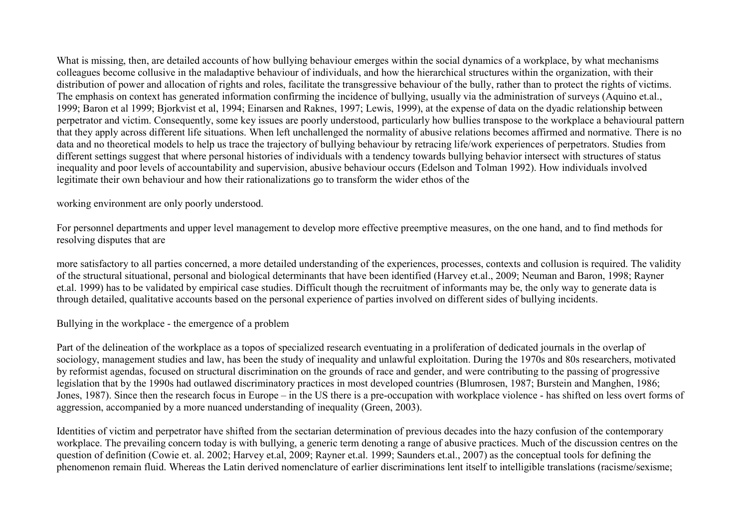What is missing, then, are detailed accounts of how bullying behaviour emerges within the social dynamics of a workplace, by what mechanisms colleagues become collusive in the maladaptive behaviour of individuals, and how the hierarchical structures within the organization, with their distribution of power and allocation of rights and roles, facilitate the transgressive behaviour of the bully, rather than to protect the rights of victims. The emphasis on context has generated information confirming the incidence of bullying, usually via the administration of surveys (Aquino et.al., 1999; Baron et al 1999; Biorkvist et al, 1994; Einarsen and Raknes, 1997; Lewis, 1999), at the expense of data on the dyadic relationship between perpetrator and victim. Consequently, some key issues are poorly understood, particularly how bullies transpose to the workplace a behavioural pattern that they apply across different life situations. When left unchallenged the normality of abusive relations becomes affirmed and normative. There is no data and no theoretical models to help us trace the trajectory of bullying behaviour by retracing life/work experiences of perpetrators. Studies from different settings suggest that where personal histories of individuals with a tendency towards bullying behavior intersect with structures of status inequality and poor levels of accountability and supervision, abusive behaviour occurs (Edelson and Tolman 1992). How individuals involved legitimate their own behaviour and how their rationalizations go to transform the wider ethos of the

working environment are only poorly understood.

For personnel departments and upper level management to develop more effective preemptive measures, on the one hand, and to find methods for resolving disputes that are

more satisfactory to all parties concerned, a more detailed understanding of the experiences, processes, contexts and collusion is required. The validity of the structural situational, personal and biological determinants that have been identified (Harvey et.al., 2009; Neuman and Baron, 1998; Rayner et.al. 1999) has to be validated by empirical case studies. Difficult though the recruitment of informants may be, the only way to generate data is through detailed, qualitative accounts based on the personal experience of parties involved on different sides of bullying incidents.

Bullying in the workplace - the emergence of a problem

Part of the delineation of the workplace as a topos of specialized research eventuating in a proliferation of dedicated journals in the overlap of sociology, management studies and law, has been the study of inequality and unlawful exploitation. During the 1970s and 80s researchers, motivated by reformist agendas, focused on structural discrimination on the grounds of race and gender, and were contributing to the passing of progressive legislation that by the 1990s had outlawed discriminatory practices in most developed countries (Blumrosen, 1987; Burstein and Manghen, 1986; Jones, 1987). Since then the research focus in Europe – in the US there is a pre-occupation with workplace violence - has shifted on less overt forms of aggression, accompanied by a more nuanced understanding of inequality (Green, 2003).

Identities of victim and perpetrator have shifted from the sectarian determination of previous decades into the hazy confusion of the contemporary workplace. The prevailing concern today is with bullying, a generic term denoting a range of abusive practices. Much of the discussion centres on the question of definition (Cowie et. al. 2002; Harvey et.al. 2009; Rayner et.al. 1999; Saunders et.al., 2007) as the conceptual tools for defining the phenomenon remain fluid. Whereas the Latin derived nomenclature of earlier discriminations lent itself to intelligible translations (racisme/sexisme;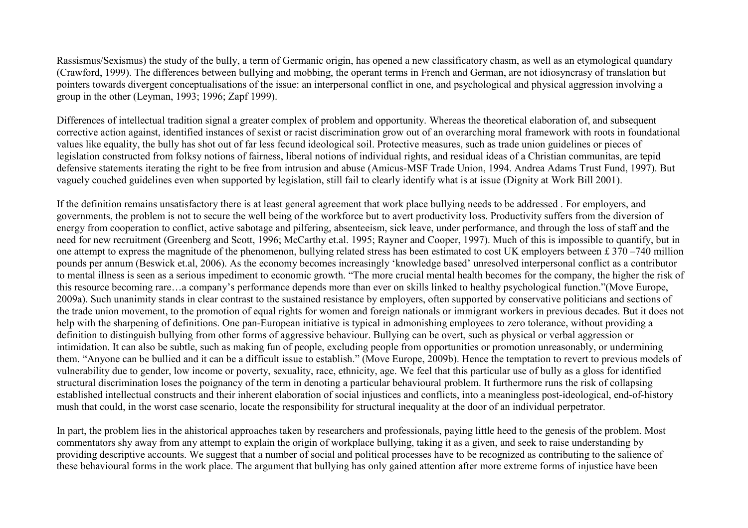Rassismus/Sexismus) the study of the bully, a term of Germanic origin, has opened a new classificatory chasm, as well as an etymological quandary (Crawford, 1999). The differences between bullying and mobbing, the operant terms in French and German, are not idiosyncrasy of translation but pointers towards divergent conceptualisations of the issue: an interpersonal conflict in one, and psychological and physical aggression involving a group in the other (Leyman,  $1993$ ;  $1996$ : Zapf  $1999$ ).

Differences of intellectual tradition signal a greater complex of problem and opportunity. Whereas the theoretical elaboration of, and subsequent corrective action against, identified instances of sexist or racist discrimination grow out of an overarching moral framework with roots in foundational values like equality, the bully has shot out of far less fecund ideological soil. Protective measures, such as trade union guidelines or pieces of legislation constructed from folksy notions of fairness, liberal notions of individual rights, and residual ideas of a Christian communitas, are tepid defensive statements iterating the right to be free from intrusion and abuse (Amicus-MSF Trade Union, 1994. Andrea Adams Trust Fund, 1997). But vaguely couched guidelines even when supported by legislation, still fail to clearly identify what is at issue (Dignity at Work Bill 2001).

If the definition remains unsatisfactory there is at least general agreement that work place bullying needs to be addressed. For employers, and governments, the problem is not to secure the well being of the workforce but to avert productivity loss. Productivity suffers from the diversion of energy from cooperation to conflict, active sabotage and pilfering, absenteeism, sick leave, under performance, and through the loss of staff and the need for new recruitment (Greenberg and Scott, 1996; McCarthy et.al. 1995; Rayner and Cooper, 1997). Much of this is impossible to quantify, but in one attempt to express the magnitude of the phenomenon, bullying related stress has been estimated to cost UK employers between £370–740 million pounds per annum (Beswick et.al, 2006). As the economy becomes increasingly 'knowledge based' unresolved interpersonal conflict as a contributor to mental illness is seen as a serious impediment to economic growth. "The more crucial mental health becomes for the company, the higher the risk of this resource becoming rare...a company's performance depends more than ever on skills linked to healthy psychological function."(Move Europe, 2009a). Such unanimity stands in clear contrast to the sustained resistance by employers, often supported by conservative politicians and sections of the trade union movement, to the promotion of equal rights for women and foreign nationals or immigrant workers in previous decades. But it does not help with the sharpening of definitions. One pan-European initiative is typical in admonishing employees to zero tolerance, without providing a definition to distinguish bullying from other forms of aggressive behaviour. Bullying can be overt, such as physical or verbal aggression or intimidation. It can also be subtle, such as making fun of people, excluding people from opportunities or promotion unreasonably, or undermining them. "Anyone can be bullied and it can be a difficult issue to establish." (Move Europe, 2009b). Hence the temptation to revert to previous models of vulnerability due to gender, low income or poverty, sexuality, race, ethnicity, age. We feel that this particular use of bully as a gloss for identified structural discrimination loses the poignancy of the term in denoting a particular behavioural problem. It furthermore runs the risk of collapsing established intellectual constructs and their inherent elaboration of social injustices and conflicts, into a meaningless post-ideological, end-of-history mush that could, in the worst case scenario, locate the responsibility for structural inequality at the door of an individual perpetrator.

In part, the problem lies in the ahistorical approaches taken by researchers and professionals, paying little heed to the genesis of the problem. Most commentators shy away from any attempt to explain the origin of workplace bullying, taking it as a given, and seek to raise understanding by providing descriptive accounts. We suggest that a number of social and political processes have to be recognized as contributing to the salience of these behavioural forms in the work place. The argument that bullying has only gained attention after more extreme forms of injustice have been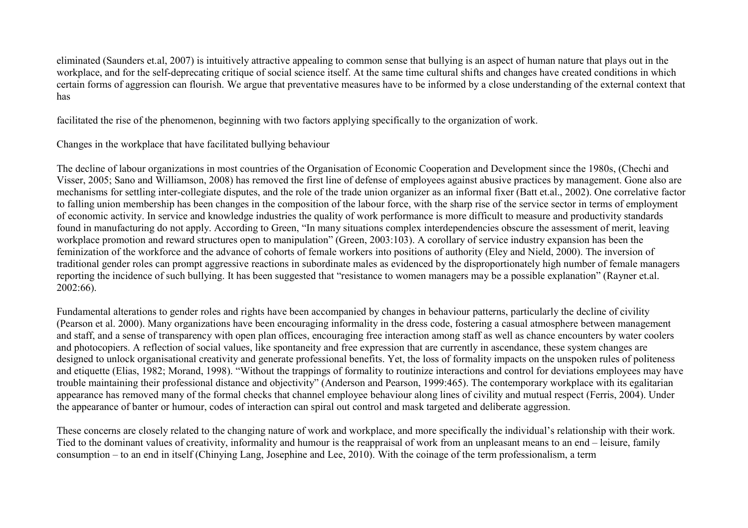eliminated (Saunders et.al, 2007) is intuitively attractive appealing to common sense that bullying is an aspect of human nature that plays out in the workplace, and for the self-deprecating critique of social science itself. At the same time cultural shifts and changes have created conditions in which certain forms of aggression can flourish. We argue that preventative measures have to be informed by a close understanding of the external context that has

facilitated the rise of the phenomenon, beginning with two factors applying specifically to the organization of work.

Changes in the workplace that have facilitated bullying behaviour

The decline of labour organizations in most countries of the Organisation of Economic Cooperation and Development since the 1980s. (Chechi and Visser, 2005; Sano and Williamson, 2008) has removed the first line of defense of employees against abusive practices by management. Gone also are mechanisms for settling inter-collegiate disputes, and the role of the trade union organizer as an informal fixer (Batt et.al., 2002). One correlative factor to falling union membership has been changes in the composition of the labour force, with the sharp rise of the service sector in terms of employment of economic activity. In service and knowledge industries the quality of work performance is more difficult to measure and productivity standards found in manufacturing do not apply. According to Green, "In many situations complex interdependencies obscure the assessment of merit, leaving workplace promotion and reward structures open to manipulation" (Green, 2003:103). A corollary of service industry expansion has been the feminization of the workforce and the advance of cohorts of female workers into positions of authority (Eley and Nield, 2000). The inversion of traditional gender roles can prompt aggressive reactions in subordinate males as evidenced by the disproportionately high number of female managers reporting the incidence of such bullying. It has been suggested that "resistance to women managers may be a possible explanation" (Rayner et.al.  $2002:66$ ).

Fundamental alterations to gender roles and rights have been accompanied by changes in behaviour patterns, particularly the decline of civility (Pearson et al. 2000). Many organizations have been encouraging informality in the dress code, fostering a casual atmosphere between management and staff, and a sense of transparency with open plan offices, encouraging free interaction among staff as well as chance encounters by water coolers and photocopiers. A reflection of social values, like spontaneity and free expression that are currently in ascendance, these system changes are designed to unlock organisational creativity and generate professional benefits. Yet, the loss of formality impacts on the unspoken rules of politeness and etiquette (Elias, 1982; Morand, 1998). "Without the trappings of formality to routinize interactions and control for deviations employees may have trouble maintaining their professional distance and objectivity" (Anderson and Pearson, 1999:465). The contemporary workplace with its egalitarian appearance has removed many of the formal checks that channel employee behaviour along lines of civility and mutual respect (Ferris, 2004). Under the appearance of banter or humour, codes of interaction can spiral out control and mask targeted and deliberate aggression.

These concerns are closely related to the changing nature of work and workplace, and more specifically the individual's relationship with their work. Tied to the dominant values of creativity, informality and humour is the reappraisal of work from an unpleasant means to an end – leisure, family consumption – to an end in itself (Chinying Lang, Josephine and Lee, 2010). With the coinage of the term professionalism, a term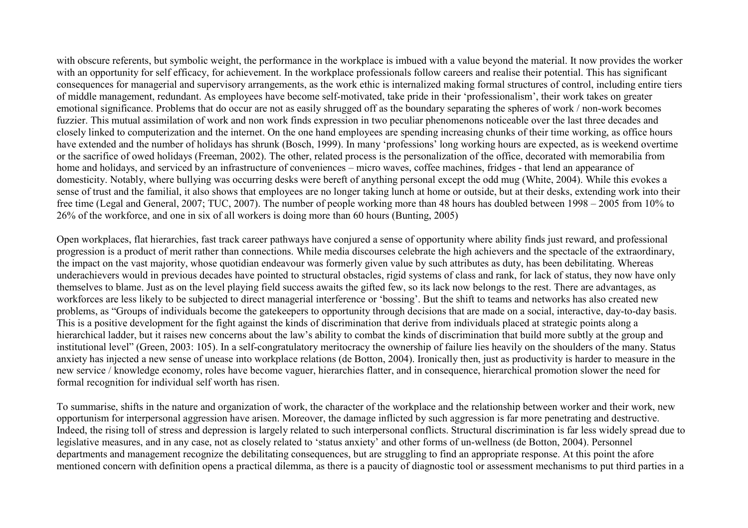with obscure referents, but symbolic weight, the performance in the workplace is imbued with a value beyond the material. It now provides the worker with an opportunity for self efficacy, for achievement. In the workplace professionals follow careers and realise their potential. This has significant consequences for managerial and supervisory arrangements, as the work ethic is internalized making formal structures of control, including entire tiers of middle management, redundant. As employees have become self-motivated, take pride in their 'professionalism', their work takes on greater emotional significance. Problems that do occur are not as easily shrugged off as the boundary separating the spheres of work / non-work becomes fuzzier. This mutual assimilation of work and non work finds expression in two peculiar phenomenons noticeable over the last three decades and closely linked to computerization and the internet. On the one hand employees are spending increasing chunks of their time working, as office hours have extended and the number of holidays has shrunk (Bosch, 1999). In many 'professions' long working hours are expected, as is weekend overtime or the sacrifice of owed holidays (Freeman, 2002). The other, related process is the personalization of the office, decorated with memorabilia from home and holidays, and serviced by an infrastructure of conveniences – micro waves, coffee machines, fridges - that lend an appearance of domesticity. Notably, where bullying was occurring desks were bereft of anything personal except the odd mug (White, 2004). While this evokes a sense of trust and the familial, it also shows that employees are no longer taking lunch at home or outside, but at their desks, extending work into their free time (Legal and General, 2007; TUC, 2007). The number of people working more than 48 hours has doubled between 1998 – 2005 from 10% to 26% of the workforce, and one in six of all workers is doing more than 60 hours (Bunting, 2005)

Open workplaces, flat hierarchies, fast track career pathways have conjured a sense of opportunity where ability finds just reward, and professional progression is a product of merit rather than connections. While media discourses celebrate the high achievers and the spectacle of the extraordinary, the impact on the vast majority, whose quotidian endeavour was formerly given value by such attributes as duty, has been debilitating. Whereas underachievers would in previous decades have pointed to structural obstacles, rigid systems of class and rank, for lack of status, they now have only themselves to blame. Just as on the level playing field success awaits the gifted few, so its lack now belongs to the rest. There are advantages, as workforces are less likely to be subjected to direct managerial interference or 'bossing'. But the shift to teams and networks has also created new problems, as "Groups of individuals become the gatekeepers to opportunity through decisions that are made on a social, interactive, day-to-day basis. This is a positive development for the fight against the kinds of discrimination that derive from individuals placed at strategic points along a hierarchical ladder, but it raises new concerns about the law's ability to combat the kinds of discrimination that build more subtly at the group and institutional level" (Green, 2003: 105). In a self-congratulatory meritocracy the ownership of failure lies heavily on the shoulders of the many. Status anxiety has injected a new sense of unease into workplace relations (de Botton, 2004). Ironically then, just as productivity is harder to measure in the new service / knowledge economy, roles have become vaguer, hierarchies flatter, and in consequence, hierarchical promotion slower the need for formal recognition for individual self worth has risen.

To summarise, shifts in the nature and organization of work, the character of the workplace and the relationship between worker and their work, new opportunism for interpersonal aggression have arisen. Moreover, the damage inflicted by such aggression is far more penetrating and destructive. Indeed, the rising toll of stress and depression is largely related to such interpersonal conflicts. Structural discrimination is far less widely spread due to legislative measures, and in any case, not as closely related to 'status anxiety' and other forms of un-wellness (de Botton, 2004). Personnel departments and management recognize the debilitating consequences, but are struggling to find an appropriate response. At this point the afore mentioned concern with definition opens a practical dilemma, as there is a paucity of diagnostic tool or assessment mechanisms to put third parties in a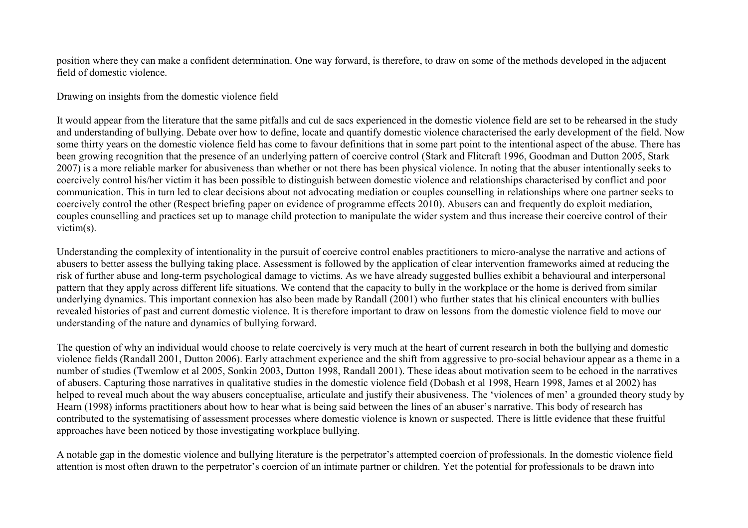position where they can make a confident determination. One way forward, is therefore, to draw on some of the methods developed in the adjacent field of domestic violence.

Drawing on insights from the domestic violence field

It would appear from the literature that the same pitfalls and cul de sacs experienced in the domestic violence field are set to be rehearsed in the study and understanding of bullying. Debate over how to define, locate and quantify domestic violence characterised the early development of the field. Now some thirty years on the domestic violence field has come to favour definitions that in some part point to the intentional aspect of the abuse. There has been growing recognition that the presence of an underlying pattern of coercive control (Stark and Flitcraft 1996, Goodman and Dutton 2005, Stark 2007) is a more reliable marker for abusiveness than whether or not there has been physical violence. In noting that the abuser intentionally seeks to coercively control his/her victim it has been possible to distinguish between domestic violence and relationships characterised by conflict and poor communication. This in turn led to clear decisions about not advocating mediation or couples counselling in relationships where one partner seeks to coercively control the other (Respect briefing paper on evidence of programme effects 2010). Abusers can and frequently do exploit mediation, couples counselling and practices set up to manage child protection to manipulate the wider system and thus increase their coercive control of their  $victim(s)$ .

Understanding the complexity of intentionality in the pursuit of coercive control enables practitioners to micro-analyse the narrative and actions of abusers to better assess the bullying taking place. Assessment is followed by the application of clear intervention frameworks aimed at reducing the risk of further abuse and long-term psychological damage to victims. As we have already suggested bullies exhibit a behavioural and interpersonal pattern that they apply across different life situations. We contend that the capacity to bully in the workplace or the home is derived from similar underlying dynamics. This important connexion has also been made by Randall (2001) who further states that his clinical encounters with bullies revealed histories of past and current domestic violence. It is therefore important to draw on lessons from the domestic violence field to move our understanding of the nature and dynamics of bullying forward.

The question of why an individual would choose to relate coercively is very much at the heart of current research in both the bullying and domestic violence fields (Randall 2001, Dutton 2006). Early attachment experience and the shift from aggressive to pro-social behaviour appear as a theme in a number of studies (Twemlow et al 2005, Sonkin 2003, Dutton 1998, Randall 2001). These ideas about motivation seem to be echoed in the narratives of abusers. Capturing those narratives in qualitative studies in the domestic violence field (Dobash et al 1998, Hearn 1998, James et al 2002) has helped to reveal much about the way abusers conceptualise, articulate and justify their abusiveness. The 'violences of men' a grounded theory study by Hearn (1998) informs practitioners about how to hear what is being said between the lines of an abuser's narrative. This body of research has contributed to the systematising of assessment processes where domestic violence is known or suspected. There is little evidence that these fruitful approaches have been noticed by those investigating workplace bullying.

A notable gap in the domestic violence and bullying literature is the perpetrator's attempted coercion of professionals. In the domestic violence field attention is most often drawn to the perpetrator's coercion of an intimate partner or children. Yet the potential for professionals to be drawn into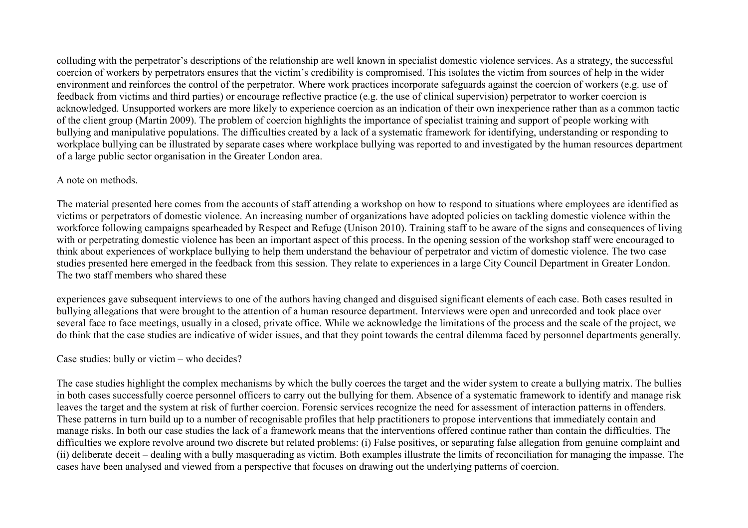colluding with the perpetrator's descriptions of the relationship are well known in specialist domestic violence services. As a strategy, the successful coercion of workers by perpetrators ensures that the victim's credibility is compromised. This isolates the victim from sources of help in the wider environment and reinforces the control of the perpetrator. Where work practices incorporate safeguards against the coercion of workers (e.g. use of feedback from victims and third parties) or encourage reflective practice (e.g. the use of clinical supervision) perpetrator to worker coercion is acknowledged. Unsupported workers are more likely to experience coercion as an indication of their own inexperience rather than as a common tactic of the client group (Martin 2009). The problem of coercion highlights the importance of specialist training and support of people working with bullying and manipulative populations. The difficulties created by a lack of a systematic framework for identifying, understanding or responding to workplace bullying can be illustrated by separate cases where workplace bullying was reported to and investigated by the human resources department of a large public sector organisation in the Greater London area.

#### A note on methods.

The material presented here comes from the accounts of staff attending a workshop on how to respond to situations where employees are identified as victims or perpetrators of domestic violence. An increasing number of organizations have adopted policies on tackling domestic violence within the workforce following campaigns spearheaded by Respect and Refuge (Unison 2010). Training staff to be aware of the signs and consequences of living with or perpetrating domestic violence has been an important aspect of this process. In the opening session of the workshop staff were encouraged to think about experiences of workplace bullying to help them understand the behaviour of perpetrator and victim of domestic violence. The two case studies presented here emerged in the feedback from this session. They relate to experiences in a large City Council Department in Greater London. The two staff members who shared these

experiences gave subsequent interviews to one of the authors having changed and disguised significant elements of each case. Both cases resulted in bullying allegations that were brought to the attention of a human resource department. Interviews were open and unrecorded and took place over several face to face meetings, usually in a closed, private office. While we acknowledge the limitations of the process and the scale of the project, we do think that the case studies are indicative of wider issues, and that they point towards the central dilemma faced by personnel departments generally.

Case studies: bully or victim – who decides?

The case studies highlight the complex mechanisms by which the bully coerces the target and the wider system to create a bullying matrix. The bullies in both cases successfully coerce personnel officers to carry out the bullying for them. Absence of a systematic framework to identify and manage risk leaves the target and the system at risk of further coercion. Forensic services recognize the need for assessment of interaction patterns in offenders. These patterns in turn build up to a number of recognisable profiles that help practitioners to propose interventions that immediately contain and manage risks. In both our case studies the lack of a framework means that the interventions offered continue rather than contain the difficulties. The difficulties we explore revolve around two discrete but related problems: (i) False positives, or separating false allegation from genuine complaint and (ii) deliberate deceit – dealing with a bully masquerading as victim. Both examples illustrate the limits of reconciliation for managing the impasse. The cases have been analysed and viewed from a perspective that focuses on drawing out the underlying patterns of coercion.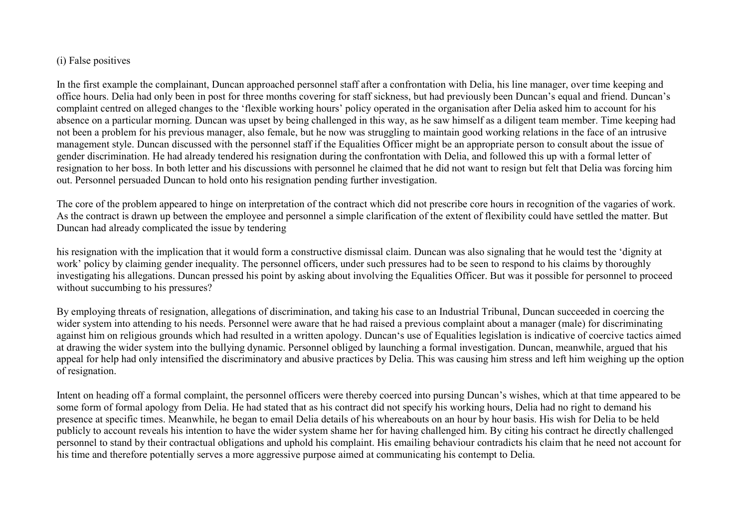#### (i) False positives

In the first example the complainant, Duncan approached personnel staff after a confrontation with Delia, his line manager, over time keeping and office hours. Delia had only been in post for three months covering for staff sickness, but had previously been Duncan's equal and friend. Duncan's complaint centred on alleged changes to the 'flexible working hours' policy operated in the organisation after Delia asked him to account for his absence on a particular morning. Duncan was upset by being challenged in this way, as he saw himself as a diligent team member. Time keeping had not been a problem for his previous manager, also female, but he now was struggling to maintain good working relations in the face of an intrusive management style. Duncan discussed with the personnel staff if the Equalities Officer might be an appropriate person to consult about the issue of gender discrimination. He had already tendered his resignation during the confrontation with Delia, and followed this up with a formal letter of resignation to her boss. In both letter and his discussions with personnel he claimed that he did not want to resign but felt that Delia was forcing him out. Personnel persuaded Duncan to hold onto his resignation pending further investigation.

The core of the problem appeared to hinge on interpretation of the contract which did not prescribe core hours in recognition of the vagaries of work. As the contract is drawn up between the employee and personnel a simple clarification of the extent of flexibility could have settled the matter. But Duncan had already complicated the issue by tendering

his resignation with the implication that it would form a constructive dismissal claim. Duncan was also signaling that he would test the 'dignity at work' policy by claiming gender inequality. The personnel officers, under such pressures had to be seen to respond to his claims by thoroughly investigating his allegations. Duncan pressed his point by asking about involving the Equalities Officer. But was it possible for personnel to proceed without succumbing to his pressures?

By employing threats of resignation, allegations of discrimination, and taking his case to an Industrial Tribunal, Duncan succeeded in coercing the wider system into attending to his needs. Personnel were aware that he had raised a previous complaint about a manager (male) for discriminating against him on religious grounds which had resulted in a written apology. Duncan's use of Equalities legislation is indicative of coercive tactics aimed at drawing the wider system into the bullying dynamic. Personnel obliged by launching a formal investigation. Duncan, meanwhile, argued that his appeal for help had only intensified the discriminatory and abusive practices by Delia. This was causing him stress and left him weighing up the option of resignation.

Intent on heading off a formal complaint, the personnel officers were thereby coerced into pursing Duncan's wishes, which at that time appeared to be some form of formal apology from Delia. He had stated that as his contract did not specify his working hours. Delia had no right to demand his presence at specific times. Meanwhile, he began to email Delia details of his whereabouts on an hour by hour basis. His wish for Delia to be held publicly to account reveals his intention to have the wider system shame her for having challenged him. By citing his contract he directly challenged personnel to stand by their contractual obligations and uphold his complaint. His emailing behaviour contradicts his claim that he need not account for his time and therefore potentially serves a more aggressive purpose aimed at communicating his contempt to Delia.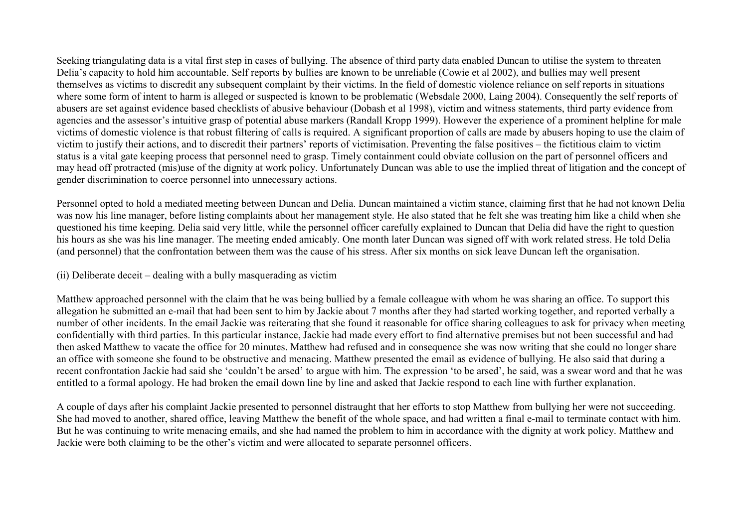Seeking triangulating data is a vital first step in cases of bullying. The absence of third party data enabled Duncan to utilise the system to threaten Delia's capacity to hold him accountable. Self reports by bullies are known to be unreliable (Cowie et al 2002), and bullies may well present themselves as victims to discredit any subsequent complaint by their victims. In the field of domestic violence reliance on self reports in situations where some form of intent to harm is alleged or suspected is known to be problematic (Websdale 2000, Laing 2004). Consequently the self reports of abusers are set against evidence based checklists of abusive behaviour (Dobash et al 1998), victim and witness statements, third party evidence from agencies and the assessor's intuitive grasp of potential abuse markers (Randall Kropp 1999). However the experience of a prominent helpline for male victims of domestic violence is that robust filtering of calls is required. A significant proportion of calls are made by abusers hoping to use the claim of victim to justify their actions, and to discredit their partners' reports of victimisation. Preventing the false positives – the fictitious claim to victim status is a vital gate keeping process that personnel need to grasp. Timely containment could obviate collusion on the part of personnel officers and may head off protracted (mis)use of the dignity at work policy. Unfortunately Duncan was able to use the implied threat of litigation and the concept of gender discrimination to coerce personnel into unnecessary actions.

Personnel opted to hold a mediated meeting between Duncan and Delia. Duncan maintained a victim stance, claiming first that he had not known Delia was now his line manager, before listing complaints about her management style. He also stated that he felt she was treating him like a child when she questioned his time keeping. Delia said very little, while the personnel officer carefully explained to Duncan that Delia did have the right to question his hours as she was his line manager. The meeting ended amicably. One month later Duncan was signed off with work related stress. He told Delia (and personnel) that the confrontation between them was the cause of his stress. After six months on sick leave Duncan left the organisation.

(ii) Deliberate deceit – dealing with a bully masquerading as victim

Matthew approached personnel with the claim that he was being bullied by a female colleague with whom he was sharing an office. To support this allegation he submitted an e-mail that had been sent to him by Jackie about 7 months after they had started working together, and reported verbally a number of other incidents. In the email Jackie was reiterating that she found it reasonable for office sharing colleagues to ask for privacy when meeting confidentially with third parties. In this particular instance, Jackie had made every effort to find alternative premises but not been successful and had then asked Matthew to vacate the office for 20 minutes. Matthew had refused and in consequence she was now writing that she could no longer share an office with someone she found to be obstructive and menacing. Matthew presented the email as evidence of bullying. He also said that during a recent confrontation Jackie had said she 'couldn't be arsed' to argue with him. The expression 'to be arsed', he said, was a swear word and that he was entitled to a formal apology. He had broken the email down line by line and asked that Jackie respond to each line with further explanation.

A couple of days after his complaint Jackie presented to personnel distraught that her efforts to stop Matthew from bullying her were not succeeding. She had moved to another, shared office, leaving Matthew the benefit of the whole space, and had written a final e-mail to terminate contact with him. But he was continuing to write menacing emails, and she had named the problem to him in accordance with the dignity at work policy. Matthew and Jackie were both claiming to be the other's victim and were allocated to separate personnel officers.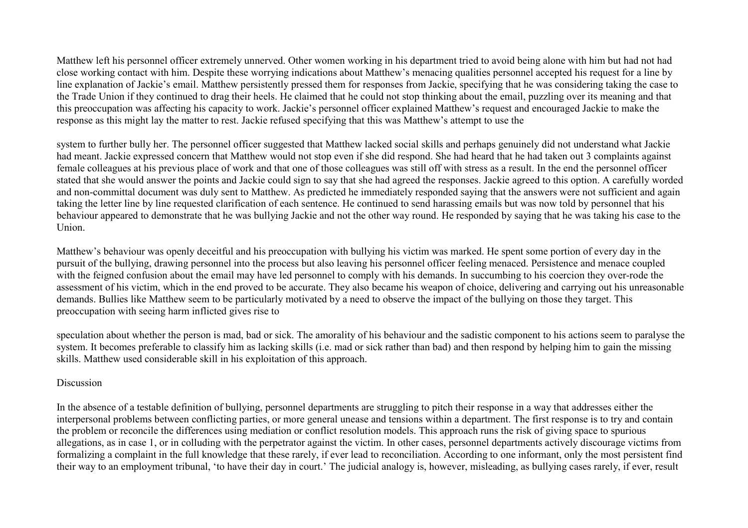Matthew left his personnel officer extremely unnerved. Other women working in his department tried to avoid being alone with him but had not had close working contact with him. Despite these worrying indications about Matthew's menacing qualities personnel accepted his request for a line by line explanation of Jackie's email. Matthew persistently pressed them for responses from Jackie, specifying that he was considering taking the case to the Trade Union if they continued to drag their heels. He claimed that he could not stop thinking about the email, puzzling over its meaning and that this preoccupation was affecting his capacity to work. Jackie's personnel officer explained Matthew's request and encouraged Jackie to make the response as this might lay the matter to rest. Jackie refused specifying that this was Matthew's attempt to use the

system to further bully her. The personnel officer suggested that Matthew lacked social skills and perhaps genuinely did not understand what Jackie had meant. Jackie expressed concern that Matthew would not stop even if she did respond. She had heard that he had taken out 3 complaints against female colleagues at his previous place of work and that one of those colleagues was still off with stress as a result. In the end the personnel officer stated that she would answer the points and Jackie could sign to say that she had agreed the responses. Jackie agreed to this option. A carefully worded and non-committal document was duly sent to Matthew. As predicted he immediately responded saying that the answers were not sufficient and again taking the letter line by line requested clarification of each sentence. He continued to send harassing emails but was now told by personnel that his behaviour appeared to demonstrate that he was bullying Jackie and not the other way round. He responded by saying that he was taking his case to the Union.

Matthew's behaviour was openly deceitful and his preoccupation with bullying his victim was marked. He spent some portion of every day in the pursuit of the bullying, drawing personnel into the process but also leaving his personnel officer feeling menaced. Persistence and menace coupled with the feigned confusion about the email may have led personnel to comply with his demands. In succumbing to his coercion they over-rode the assessment of his victim, which in the end proved to be accurate. They also became his weapon of choice, delivering and carrying out his unreasonable demands. Bullies like Matthew seem to be particularly motivated by a need to observe the impact of the bullying on those they target. This preoccupation with seeing harm inflicted gives rise to

speculation about whether the person is mad, bad or sick. The amorality of his behaviour and the sadistic component to his actions seem to paralyse the system. It becomes preferable to classify him as lacking skills (i.e. mad or sick rather than bad) and then respond by helping him to gain the missing skills. Matthew used considerable skill in his exploitation of this approach.

#### **Discussion**

In the absence of a testable definition of bullying, personnel departments are struggling to pitch their response in a way that addresses either the interpersonal problems between conflicting parties, or more general unease and tensions within a department. The first response is to try and contain the problem or reconcile the differences using mediation or conflict resolution models. This approach runs the risk of giving space to spurious allegations, as in case 1, or in colluding with the perpetrator against the victim. In other cases, personnel departments actively discourage victims from formalizing a complaint in the full knowledge that these rarely, if ever lead to reconciliation. According to one informant, only the most persistent find their way to an employment tribunal, 'to have their day in court.' The judicial analogy is, however, misleading, as bullying cases rarely, if ever, result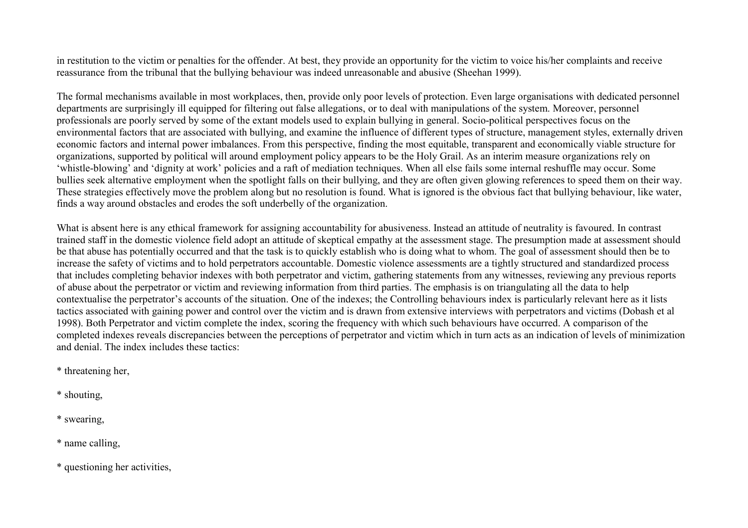in restitution to the victim or penalties for the offender. At best, they provide an opportunity for the victim to voice his/her complaints and receive reassurance from the tribunal that the bullying behaviour was indeed unreasonable and abusive (Sheehan 1999).

The formal mechanisms available in most workplaces, then, provide only poor levels of protection. Even large organisations with dedicated personnel departments are surprisingly ill equipped for filtering out false allegations, or to deal with manipulations of the system. Moreover, personnel professionals are poorly served by some of the extant models used to explain bullying in general. Socio-political perspectives focus on the environmental factors that are associated with bullying, and examine the influence of different types of structure, management styles, externally driven economic factors and internal power imbalances. From this perspective, finding the most equitable, transparent and economically viable structure for organizations, supported by political will around employment policy appears to be the Holy Grail. As an interim measure organizations rely on 'whistle-blowing' and 'dignity at work' policies and a raft of mediation techniques. When all else fails some internal reshuffle may occur. Some bullies seek alternative employment when the spotlight falls on their bullying, and they are often given glowing references to speed them on their way. These strategies effectively move the problem along but no resolution is found. What is ignored is the obvious fact that bullying behaviour, like water, finds a way around obstacles and erodes the soft underbelly of the organization.

What is absent here is any ethical framework for assigning accountability for abusiveness. Instead an attitude of neutrality is favoured. In contrast trained staff in the domestic violence field adopt an attitude of skeptical empathy at the assessment stage. The presumption made at assessment should be that abuse has potentially occurred and that the task is to quickly establish who is doing what to whom. The goal of assessment should then be to increase the safety of victims and to hold perpetrators accountable. Domestic violence assessments are a tightly structured and standardized process that includes completing behavior indexes with both perpetrator and victim, gathering statements from any witnesses, reviewing any previous reports of abuse about the perpetrator or victim and reviewing information from third parties. The emphasis is on triangulating all the data to help contextualise the perpetrator's accounts of the situation. One of the indexes; the Controlling behaviours index is particularly relevant here as it lists tactics associated with gaining power and control over the victim and is drawn from extensive interviews with perpetrators and victims (Dobash et al 1998). Both Perpetrator and victim complete the index, scoring the frequency with which such behaviours have occurred. A comparison of the completed indexes reveals discrepancies between the perceptions of perpetrator and victim which in turn acts as an indication of levels of minimization and denial. The index includes these tactics:

\* threatening her,

\* shouting,

\* swearing.

\* name calling.

\* questioning her activities.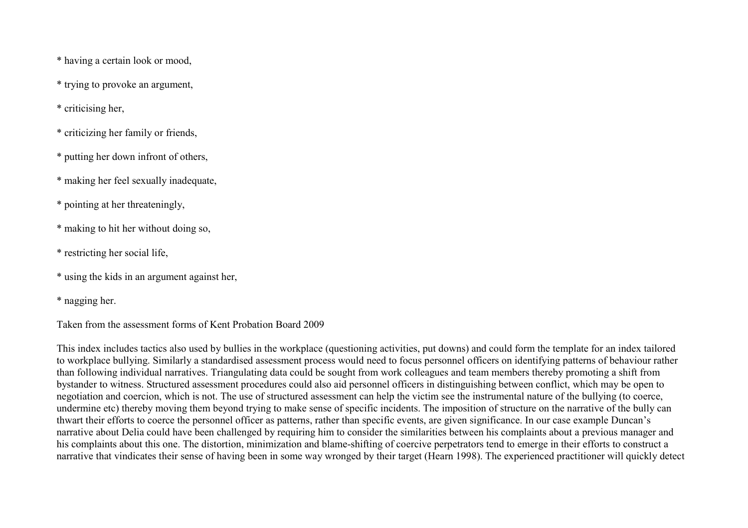- \* having a certain look or mood,
- \* trying to provoke an argument.
- \* criticising her.
- \* criticizing her family or friends,
- \* putting her down infront of others,
- \* making her feel sexually inadequate,
- \* pointing at her threateningly,
- \* making to hit her without doing so,
- \* restricting her social life.
- \* using the kids in an argument against her.
- \* nagging her.

#### Taken from the assessment forms of Kent Probation Board 2009

This index includes tactics also used by bullies in the workplace (questioning activities, put downs) and could form the template for an index tailored to workplace bullying. Similarly a standardised assessment process would need to focus personnel officers on identifying patterns of behaviour rather than following individual narratives. Triangulating data could be sought from work colleagues and team members thereby promoting a shift from by by tander to witness. Structured assessment procedures could also aid personnel officers in distinguishing between conflict, which may be open to negotiation and coercion, which is not. The use of structured assessment can help the victim see the instrumental nature of the bullying (to coerce, undermine etc) thereby moving them beyond trying to make sense of specific incidents. The imposition of structure on the narrative of the bully can thwart their efforts to coerce the personnel officer as patterns, rather than specific events, are given significance. In our case example Duncan's narrative about Delia could have been challenged by requiring him to consider the similarities between his complaints about a previous manager and his complaints about this one. The distortion, minimization and blame-shifting of coercive perpetrators tend to emerge in their efforts to construct a narrative that vindicates their sense of having been in some way wronged by their target (Hearn 1998). The experienced practitioner will quickly detect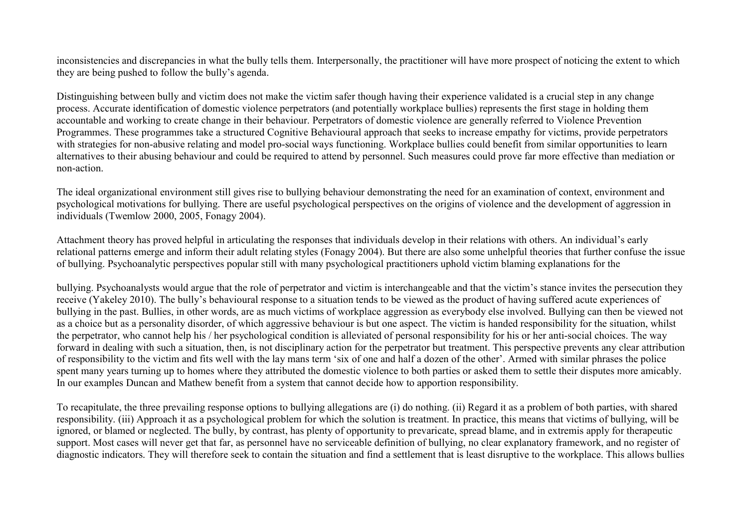inconsistencies and discrepancies in what the bully tells them. Interpersonally, the practitioner will have more prospect of noticing the extent to which they are being pushed to follow the bully's agenda.

Distinguishing between bully and victim does not make the victim safer though having their experience validated is a crucial step in any change process. Accurate identification of domestic violence perpetrators (and potentially workplace bullies) represents the first stage in holding them accountable and working to create change in their behaviour. Perpetrators of domestic violence are generally referred to Violence Prevention Programmes. These programmes take a structured Cognitive Behavioural approach that seeks to increase empathy for victims, provide perpetrators with strategies for non-abusive relating and model pro-social ways functioning. Workplace bullies could benefit from similar opportunities to learn alternatives to their abusing behaviour and could be required to attend by personnel. Such measures could prove far more effective than mediation or non-action.

The ideal organizational environment still gives rise to bullying behaviour demonstrating the need for an examination of context, environment and psychological motivations for bullying. There are useful psychological perspectives on the origins of violence and the development of aggression in individuals (Twemlow 2000, 2005, Fonagy 2004).

Attachment theory has proved helpful in articulating the responses that individuals develop in their relations with others. An individual's early relational patterns emerge and inform their adult relating styles (Fonagy 2004). But there are also some unhelpful theories that further confuse the issue of bullying. Psychoanalytic perspectives popular still with many psychological practitioners uphold victim blaming explanations for the

bullying. Psychoanalysts would argue that the role of perpetrator and victim is interchangeable and that the victim's stance invites the persecution they receive (Yakeley 2010). The bully's behavioural response to a situation tends to be viewed as the product of having suffered acute experiences of bullying in the past. Bullies, in other words, are as much victims of workplace aggression as everybody else involved. Bullying can then be viewed not as a choice but as a personality disorder, of which aggressive behaviour is but one aspect. The victim is handed responsibility for the situation, whilst the perpetrator, who cannot help his / her psychological condition is alleviated of personal responsibility for his or her anti-social choices. The way forward in dealing with such a situation, then, is not disciplinary action for the perpetrator but treatment. This perspective prevents any clear attribution of responsibility to the victim and fits well with the lay mans term 'six of one and half a dozen of the other'. Armed with similar phrases the police spent many years turning up to homes where they attributed the domestic violence to both parties or asked them to settle their disputes more amicably. In our examples Duncan and Mathew benefit from a system that cannot decide how to apportion responsibility.

To recapitulate, the three prevailing response options to bullying allegations are (i) do nothing. (ii) Regard it as a problem of both parties, with shared responsibility. (iii) Approach it as a psychological problem for which the solution is treatment. In practice, this means that victims of bullying, will be ignored, or blamed or neglected. The bully, by contrast, has plenty of opportunity to prevaricate, spread blame, and in extremis apply for therapeutic support. Most cases will never get that far, as personnel have no serviceable definition of bullying, no clear explanatory framework, and no register of diagnostic indicators. They will therefore seek to contain the situation and find a settlement that is least disruptive to the workplace. This allows bullies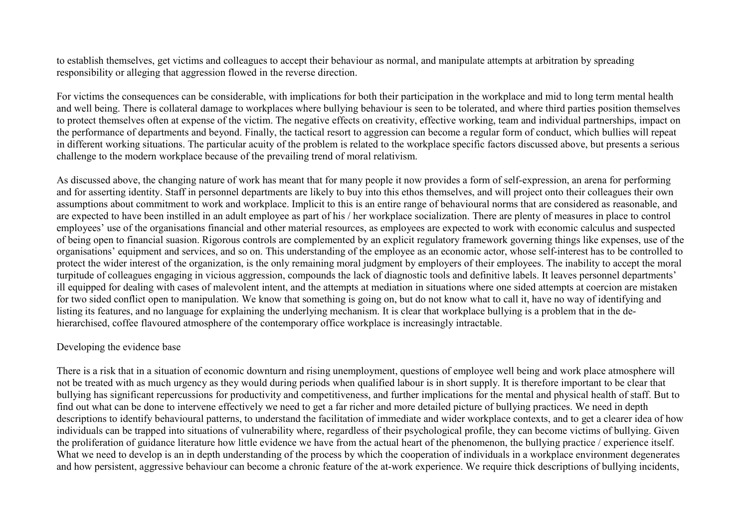to establish themselves, get victims and colleagues to accept their behaviour as normal, and manipulate attempts at arbitration by spreading responsibility or alleging that aggression flowed in the reverse direction.

For victims the consequences can be considerable, with implications for both their participation in the workplace and mid to long term mental health and well being. There is collateral damage to workplaces where bullying behaviour is seen to be tolerated, and where third parties position themselves to protect themselves often at expense of the victim. The negative effects on creativity, effective working, team and individual partnerships, impact on the performance of departments and beyond. Finally, the tactical resort to aggression can become a regular form of conduct, which bullies will repeat in different working situations. The particular acuity of the problem is related to the workplace specific factors discussed above, but presents a serious challenge to the modern workplace because of the prevailing trend of moral relativism.

As discussed above, the changing nature of work has meant that for many people it now provides a form of self-expression, an arena for performing and for asserting identity. Staff in personnel departments are likely to buy into this ethos themselves, and will project onto their colleagues their own assumptions about commitment to work and workplace. Implicit to this is an entire range of behavioural norms that are considered as reasonable, and are expected to have been instilled in an adult employee as part of his / her workplace socialization. There are plenty of measures in place to control employees' use of the organisations financial and other material resources, as employees are expected to work with economic calculus and suspected of being open to financial suasion. Rigorous controls are complemented by an explicit regulatory framework governing things like expenses, use of the organisations' equipment and services, and so on. This understanding of the employee as an economic actor, whose self-interest has to be controlled to protect the wider interest of the organization, is the only remaining moral judgment by employers of their employees. The inability to accept the moral turpitude of colleagues engaging in vicious aggression, compounds the lack of diagnostic tools and definitive labels. It leaves personnel departments' ill equipped for dealing with cases of malevolent intent, and the attempts at mediation in situations where one sided attempts at coercion are mistaken for two sided conflict open to manipulation. We know that something is going on, but do not know what to call it, have no way of identifying and listing its features, and no language for explaining the underlying mechanism. It is clear that workplace bullying is a problem that in the dehierarchised, coffee flavoured atmosphere of the contemporary office workplace is increasingly intractable.

#### Developing the evidence base

There is a risk that in a situation of economic downturn and rising unemployment, questions of employee well being and work place atmosphere will not be treated with as much urgency as they would during periods when qualified labour is in short supply. It is therefore important to be clear that bullying has significant repercussions for productivity and competitiveness, and further implications for the mental and physical health of staff. But to find out what can be done to intervene effectively we need to get a far richer and more detailed picture of bullying practices. We need in depth descriptions to identify behavioural patterns, to understand the facilitation of immediate and wider workplace contexts, and to get a clearer idea of how individuals can be trapped into situations of vulnerability where, regardless of their psychological profile, they can become victims of bullying. Given the proliferation of guidance literature how little evidence we have from the actual heart of the phenomenon, the bullying practice / experience itself. What we need to develop is an in depth understanding of the process by which the cooperation of individuals in a workplace environment degenerates and how persistent, aggressive behaviour can become a chronic feature of the at-work experience. We require thick descriptions of bullying incidents,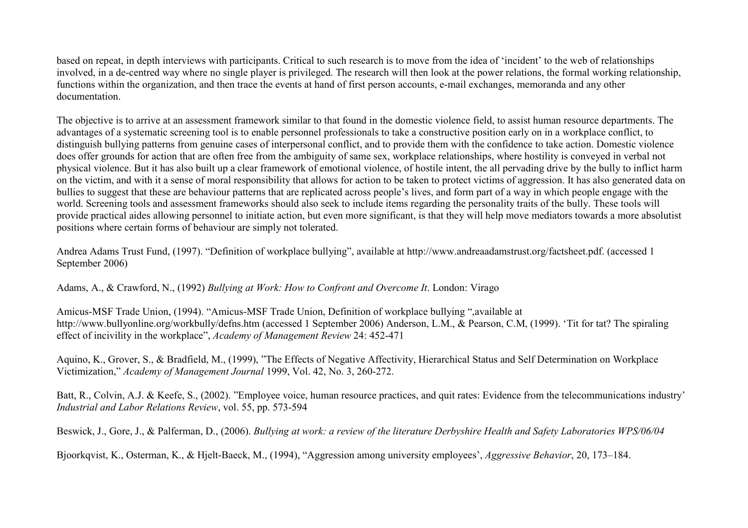based on repeat, in depth interviews with participants. Critical to such research is to move from the idea of 'incident' to the web of relationships involved, in a de-centred way where no single player is privileged. The research will then look at the power relations, the formal working relationship, functions within the organization, and then trace the events at hand of first person accounts, e-mail exchanges, memoranda and any other documentation.

The objective is to arrive at an assessment framework similar to that found in the domestic violence field, to assist human resource departments. The advantages of a systematic screening tool is to enable personnel professionals to take a constructive position early on in a workplace conflict, to distinguish bullying patterns from genuine cases of interpersonal conflict, and to provide them with the confidence to take action. Domestic violence does offer grounds for action that are often free from the ambiguity of same sex, workplace relationships, where hostility is conveyed in verbal not physical violence. But it has also built up a clear framework of emotional violence, of hostile intent, the all pervading drive by the bully to inflict harm on the victim, and with it a sense of moral responsibility that allows for action to be taken to protect victims of aggression. It has also generated data on bullies to suggest that these are behaviour patterns that are replicated across people's lives, and form part of a way in which people engage with the world. Screening tools and assessment frameworks should also seek to include items regarding the personality traits of the bully. These tools will provide practical aides allowing personnel to initiate action, but even more significant, is that they will help move mediators towards a more absolutist positions where certain forms of behaviour are simply not tolerated.

Andrea Adams Trust Fund, (1997). "Definition of workplace bullying", available at http://www.andreaadamstrust.org/factsheet.pdf. (accessed 1 September 2006)

Adams, A., & Crawford, N., (1992) Bullying at Work: How to Confront and Overcome It. London: Virago

Amicus-MSF Trade Union, (1994). "Amicus-MSF Trade Union, Definition of workplace bullying ", available at http://www.bullyonline.org/workbully/defns.htm (accessed 1 September 2006) Anderson, L.M., & Pearson, C.M. (1999). 'Tit for tat? The spiraling effect of incivility in the workplace", Academy of Management Review 24: 452-471

Aquino, K., Grover, S., & Bradfield, M., (1999), "The Effects of Negative Affectivity, Hierarchical Status and Self Determination on Workplace Victimization," Academy of Management Journal 1999, Vol. 42, No. 3, 260-272.

Batt, R., Colvin, A.J. & Keefe, S., (2002). "Employee voice, human resource practices, and quit rates: Evidence from the telecommunications industry' Industrial and Labor Relations Review, vol. 55, pp. 573-594

Beswick, J., Gore, J., & Palferman, D., (2006). Bullying at work: a review of the literature Derbyshire Health and Safety Laboratories WPS/06/04

Bjoorkqvist, K., Osterman, K., & Hjelt-Baeck, M., (1994), "Aggression among university employees', Aggressive Behavior, 20, 173-184.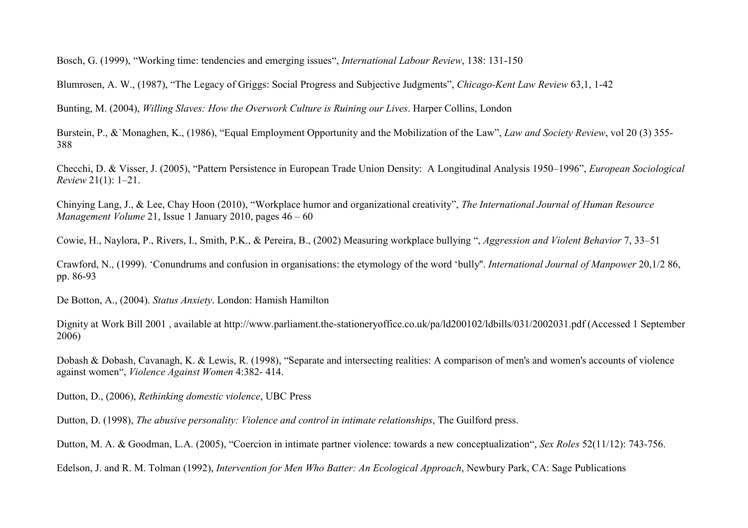Bosch, G. (1999), "Working time: tendencies and emerging issues", *International Labour Review*, 138: 131-150

Blumrosen, A. W., (1987), "The Legacy of Griggs: Social Progress and Subjective Judgments", Chicago-Kent Law Review 63.1, 1-42

Bunting, M. (2004), Willing Slaves: How the Overwork Culture is Ruining our Lives. Harper Collins. London

Burstein, P., & Monaghen, K., (1986), "Equal Employment Opportunity and the Mobilization of the Law", Law and Society Review, vol 20 (3) 355-388

Checchi, D. & Visser, J. (2005), "Pattern Persistence in European Trade Union Density: A Longitudinal Analysis 1950–1996", European Sociological *Review* 21(1):  $1-21$ .

Chinying Lang, J., & Lee, Chay Hoon (2010), "Workplace humor and organizational creativity", The International Journal of Human Resource *Management Volume* 21, Issue 1 January 2010, pages  $46 - 60$ 

Cowie, H., Naylora, P., Rivers, I., Smith, P.K., & Pereira, B., (2002) Measuring workplace bullying ", Aggression and Violent Behavior 7, 33–51

Crawford, N., (1999). 'Conundrums and confusion in organisations: the etymology of the word 'bully". International Journal of Manpower 20,1/2 86, pp. 86-93

De Botton, A., (2004). Status Anxiety. London: Hamish Hamilton

Dignity at Work Bill 2001, available at http://www.parliament.the-stationeryoffice.co.uk/pa/ld200102/ldbills/031/2002031.pdf (Accessed 1 September 2006)

Dobash & Dobash, Cavanagh, K. & Lewis, R. (1998), "Separate and intersecting realities: A comparison of men's and women's accounts of violence against women", Violence Against Women 4:382-414.

Dutton, D., (2006), *Rethinking domestic violence*, UBC Press

Dutton, D. (1998), The abusive personality: Violence and control in intimate relationships, The Guilford press.

Dutton, M. A. & Goodman, L.A. (2005). "Coercion in intimate partner violence: towards a new conceptualization", Sex Roles 52(11/12): 743-756.

Edelson, J. and R. M. Tolman (1992), Intervention for Men Who Batter: An Ecological Approach, Newbury Park, CA: Sage Publications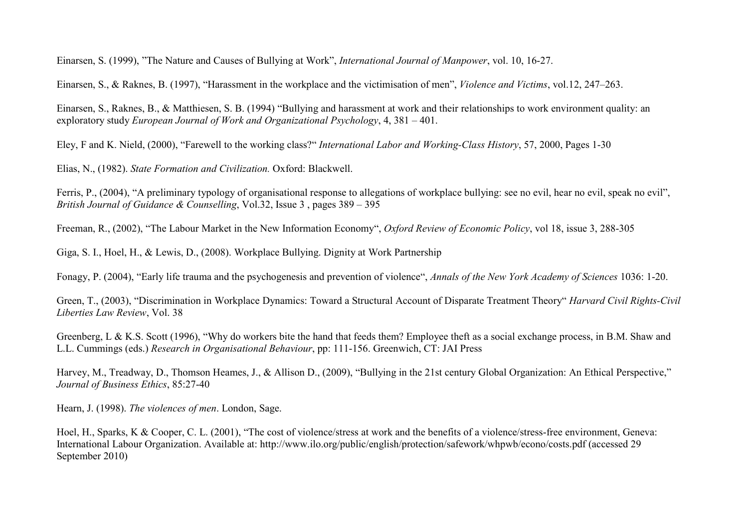Einarsen, S. (1999), "The Nature and Causes of Bullying at Work", *International Journal of Manpower*, vol. 10, 16-27.

Einarsen, S., & Raknes, B. (1997), "Harassment in the workplace and the victimisation of men", *Violence and Victims*, vol.12, 247–263.

Einarsen, S., Raknes, B., & Matthiesen, S. B. (1994) "Bullying and harassment at work and their relationships to work environment quality: an exploratory study European Journal of Work and Organizational Psychology,  $4.381 - 401$ .

Elev. F and K. Nield. (2000). "Farewell to the working class?" International Labor and Working-Class History, 57, 2000, Pages 1-30

Elias, N., (1982). State Formation and Civilization. Oxford: Blackwell.

Ferris, P., (2004), "A preliminary typology of organisational response to allegations of workplace bullying: see no evil, hear no evil, speak no evil", British Journal of Guidance & Counselling, Vol.32, Issue  $3$ , pages  $389 - 395$ 

Freeman, R., (2002), "The Labour Market in the New Information Economy", Oxford Review of Economic Policy, vol 18, issue 3, 288-305

Giga, S. I., Hoel, H., & Lewis, D., (2008). Workplace Bullying. Dignity at Work Partnership

Fonagy, P. (2004), "Early life trauma and the psychogenesis and prevention of violence", Annals of the New York Academy of Sciences 1036: 1-20.

Green, T., (2003), "Discrimination in Workplace Dynamics: Toward a Structural Account of Disparate Treatment Theory" Harvard Civil Rights-Civil Liberties Law Review, Vol. 38

Greenberg, L & K.S. Scott (1996), "Why do workers bite the hand that feeds them? Employee theft as a social exchange process, in B.M. Shaw and L.L. Cummings (eds.) Research in Organisational Behaviour, pp: 111-156. Greenwich, CT: JAI Press

Harvey, M., Treadway, D., Thomson Heames, J., & Allison D., (2009), "Bullying in the 21st century Global Organization: An Ethical Perspective," Journal of Business Ethics, 85:27-40

Hearn, J. (1998). The violences of men. London, Sage.

Hoel, H., Sparks, K & Cooper, C. L. (2001), "The cost of violence/stress at work and the benefits of a violence/stress-free environment, Geneva: International Labour Organization. Available at: http://www.ilo.org/public/english/protection/safework/whpwb/econo/costs.pdf (accessed 29) September 2010)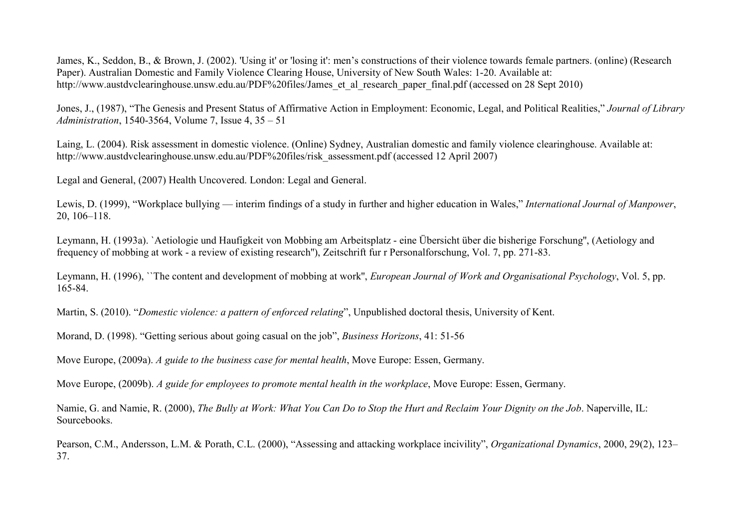James, K., Seddon, B., & Brown, J. (2002). 'Using it' or 'losing it': men's constructions of their violence towards female partners. (online) (Research Paper). Australian Domestic and Family Violence Clearing House, University of New South Wales: 1-20. Available at: http://www.austdvclearinghouse.unsw.edu.au/PDF%20files/James et al research paper final.pdf (accessed on 28 Sept 2010)

Jones, J., (1987), "The Genesis and Present Status of Affirmative Action in Employment: Economic, Legal, and Political Realities," Journal of Library *Administration*, 1540-3564, Volume 7, Issue 4, 35 – 51

Laing, L. (2004). Risk assessment in domestic violence. (Online) Sydney, Australian domestic and family violence clearinghouse. Available at: http://www.austdvclearinghouse.unsw.edu.au/PDF%20files/risk assessment.pdf (accessed 12 April 2007)

Legal and General, (2007) Health Uncovered. London: Legal and General.

Lewis, D. (1999), "Workplace bullying — interim findings of a study in further and higher education in Wales," International Journal of Manpower,  $20, 106 - 118.$ 

Leymann, H. (1993a). `Aetiologie und Haufigkeit von Mobbing am Arbeitsplatz - eine Übersicht über die bisherige Forschung", (Aetiology and frequency of mobbing at work - a review of existing research"), Zeitschrift fur r Personalforschung, Vol. 7, pp. 271-83.

Leymann, H. (1996), "The content and development of mobbing at work", *European Journal of Work and Organisational Psychology*, Vol. 5, pp.  $165 - 84$ 

Martin, S. (2010). "Domestic violence: a pattern of enforced relating", Unpublished doctoral thesis, University of Kent.

Morand, D. (1998). "Getting serious about going casual on the job", Business Horizons, 41: 51-56

Move Europe, (2009a). A guide to the business case for mental health, Move Europe: Essen, Germany.

Move Europe, (2009b). A guide for employees to promote mental health in the workplace, Move Europe: Essen, Germany.

Namie, G. and Namie, R. (2000), The Bully at Work: What You Can Do to Stop the Hurt and Reclaim Your Dignity on the Job. Naperville, IL: Sourcebooks.

Pearson, C.M., Andersson, L.M. & Porath, C.L. (2000), "Assessing and attacking workplace incivility", Organizational Dynamics, 2000, 29(2), 123– 37.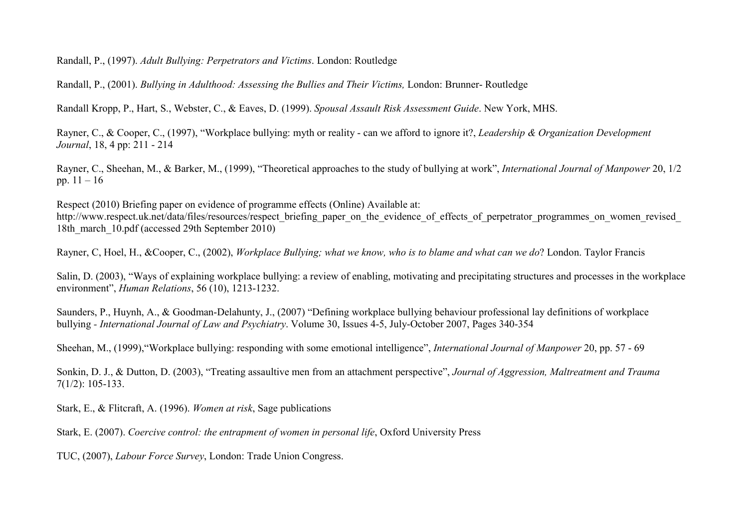Randall, P., (1997). Adult Bullying: Perpetrators and Victims. London: Routledge

Randall, P., (2001). Bullying in Adulthood: Assessing the Bullies and Their Victims, London: Brunner-Routledge

Randall Kropp, P., Hart, S., Webster, C., & Eaves, D. (1999). Spousal Assault Risk Assessment Guide, New York, MHS.

Rayner, C., & Cooper, C., (1997), "Workplace bullying: myth or reality - can we afford to ignore it?, Leadership & Organization Development *Journal*, 18, 4 pp: 211 - 214

Rayner, C., Sheehan, M., & Barker, M., (1999), "Theoretical approaches to the study of bullying at work", International Journal of Manpower 20, 1/2 pp.  $11 - 16$ 

Respect (2010) Briefing paper on evidence of programme effects (Online) Available at: http://www.respect.uk.net/data/files/resources/respect briefing paper on the evidence of effects of perpetrator programmes on women revised 18th march 10.pdf (accessed 29th September 2010)

Rayner, C, Hoel, H., &Cooper, C., (2002), *Workplace Bullying; what we know, who is to blame and what can we do*? London. Taylor Francis

Salin, D. (2003), "Ways of explaining workplace bullying: a review of enabling, motivating and precipitating structures and processes in the workplace environment", *Human Relations*, 56 (10), 1213-1232.

Saunders, P., Huynh, A., & Goodman-Delahunty, J., (2007) "Defining workplace bullying behaviour professional lay definitions of workplace bullying - International Journal of Law and Psychiatry. Volume 30, Issues 4-5, July-October 2007, Pages 340-354

Sheehan, M., (1999), "Workplace bullying: responding with some emotional intelligence", *International Journal of Manpower* 20, pp. 57 - 69

Sonkin, D. J., & Dutton, D. (2003), "Treating assaultive men from an attachment perspective", Journal of Aggression, Maltreatment and Trauma  $7(1/2)$ : 105-133.

Stark, E., & Flitcraft, A. (1996). Women at risk, Sage publications

Stark, E. (2007). Coercive control: the entrapment of women in personal life, Oxford University Press

TUC, (2007), *Labour Force Survey*, London: Trade Union Congress.